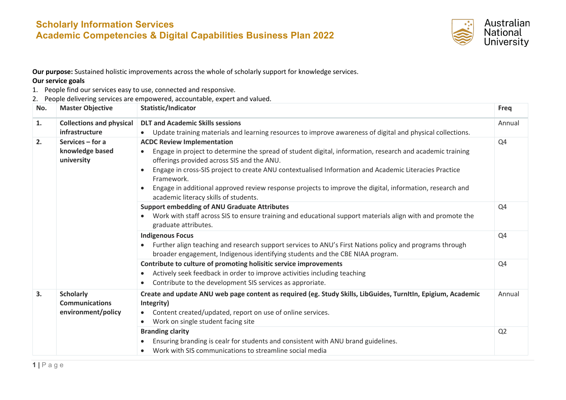## **Scholarly Information Services Academic Competencies & Digital Capabilities Business Plan 2022**



**Our purpose:** Sustained holistic improvements across the whole of scholarly support for knowledge services.

## **Our service goals**

- 1. People find our services easy to use, connected and responsive.
- 2. People delivering services are empowered, accountable, expert and valued.

| No. | <b>Master Objective</b>                                         | Statistic/Indicator                                                                                                                                                                                                                                                                                                                                                                                                             | <b>Freq</b>    |
|-----|-----------------------------------------------------------------|---------------------------------------------------------------------------------------------------------------------------------------------------------------------------------------------------------------------------------------------------------------------------------------------------------------------------------------------------------------------------------------------------------------------------------|----------------|
| 1.  | <b>Collections and physical</b>                                 | <b>DLT and Academic Skills sessions</b>                                                                                                                                                                                                                                                                                                                                                                                         | Annual         |
|     | infrastructure                                                  | Update training materials and learning resources to improve awareness of digital and physical collections.                                                                                                                                                                                                                                                                                                                      |                |
| 2.  | Services $-$ for a<br>knowledge based<br>university             | <b>ACDC Review Implementation</b><br>Engage in project to determine the spread of student digital, information, research and academic training<br>offerings provided across SIS and the ANU.<br>Engage in cross-SIS project to create ANU contextualised Information and Academic Literacies Practice<br>Framework.<br>Engage in additional approved review response projects to improve the digital, information, research and | Q4             |
|     |                                                                 | academic literacy skills of students.<br><b>Support embedding of ANU Graduate Attributes</b><br>Work with staff across SIS to ensure training and educational support materials align with and promote the<br>graduate attributes.                                                                                                                                                                                              | Q4             |
|     |                                                                 | <b>Indigenous Focus</b><br>Further align teaching and research support services to ANU's First Nations policy and programs through<br>broader engagement, Indigenous identifying students and the CBE NIAA program.                                                                                                                                                                                                             | Q4             |
|     |                                                                 | Contribute to culture of promoting holisitic service improvements<br>Actively seek feedback in order to improve activities including teaching<br>Contribute to the development SIS services as approriate.                                                                                                                                                                                                                      | Q4             |
| 3.  | <b>Scholarly</b><br><b>Communications</b><br>environment/policy | Create and update ANU web page content as required (eg. Study Skills, LibGuides, TurnItIn, Epigium, Academic<br>Integrity)<br>Content created/updated, report on use of online services.<br>Work on single student facing site<br>$\bullet$                                                                                                                                                                                     | Annual         |
|     |                                                                 | <b>Branding clarity</b><br>Ensuring branding is cealr for students and consistent with ANU brand guidelines.<br>Work with SIS communications to streamline social media                                                                                                                                                                                                                                                         | Q <sub>2</sub> |